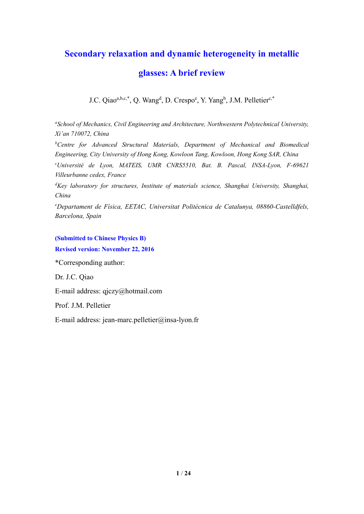# **Secondary relaxation and dynamic heterogeneity in metallic**

# **glasses: A brief review**

J.C. Qiao<sup>a,b,c,\*</sup>, Q. Wang<sup>d</sup>, D. Crespo<sup>e</sup>, Y. Yang<sup>b</sup>, J.M. Pelletier<sup>c,\*</sup>

*a School of Mechanics, Civil Engineering and Architecture, Northwestern Polytechnical University, Xi'an 710072, China* 

<sup>b</sup>Centre for Advanced Structural Materials, Department of Mechanical and Biomedical *Engineering, City University of Hong Kong, Kowloon Tang, Kowloon, Hong Kong SAR, China* 

*c Université de Lyon, MATEIS, UMR CNRS5510, Bat. B. Pascal, INSA-Lyon, F-69621 Villeurbanne cedex, France* 

*d Key laboratory for structures, Institute of materials science, Shanghai University, Shanghai, China* 

*e Departament de Física, EETAC, Universitat Politècnica de Catalunya, 08860-Castelldfels, Barcelona, Spain*

#### **(Submitted to Chinese Physics B)**

**Revised version: November 22, 2016** 

\*Corresponding author:

Dr. J.C. Qiao

E-mail address: qjczy@hotmail.com

Prof. J.M. Pelletier

E-mail address: jean-marc.pelletier@insa-lyon.fr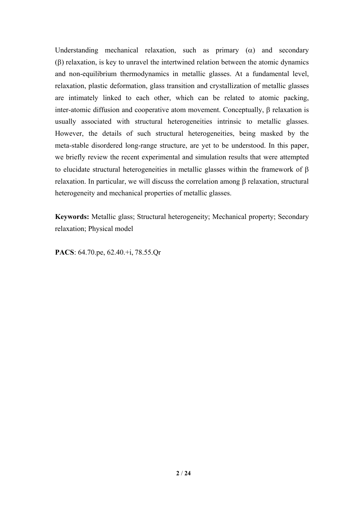Understanding mechanical relaxation, such as primary  $(\alpha)$  and secondary  $(\beta)$  relaxation, is key to unravel the intertwined relation between the atomic dynamics and non-equilibrium thermodynamics in metallic glasses. At a fundamental level, relaxation, plastic deformation, glass transition and crystallization of metallic glasses are intimately linked to each other, which can be related to atomic packing, inter-atomic diffusion and cooperative atom movement. Conceptually,  $\beta$  relaxation is usually associated with structural heterogeneities intrinsic to metallic glasses. However, the details of such structural heterogeneities, being masked by the meta-stable disordered long-range structure, are yet to be understood. In this paper, we briefly review the recent experimental and simulation results that were attempted to elucidate structural heterogeneities in metallic glasses within the framework of  $\beta$ relaxation. In particular, we will discuss the correlation among  $\beta$  relaxation, structural heterogeneity and mechanical properties of metallic glasses.

**Keywords:** Metallic glass; Structural heterogeneity; Mechanical property; Secondary relaxation; Physical model

**PACS**: 64.70.pe, 62.40.+i, 78.55.Qr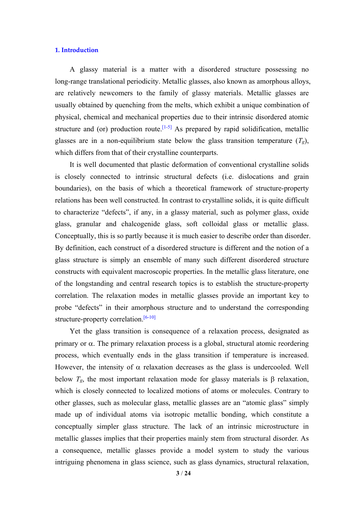# **1. Introduction**

A glassy material is a matter with a disordered structure possessing no long-range translational periodicity. Metallic glasses, also known as amorphous alloys, are relatively newcomers to the family of glassy materials. Metallic glasses are usually obtained by quenching from the melts, which exhibit a unique combination of physical, chemical and mechanical properties due to their intrinsic disordered atomic structure and (or) production route.<sup>[1-5]</sup> As prepared by rapid solidification, metallic glasses are in a non-equilibrium state below the glass transition temperature  $(T_g)$ , which differs from that of their crystalline counterparts.

It is well documented that plastic deformation of conventional crystalline solids is closely connected to intrinsic structural defects (i.e. dislocations and grain boundaries), on the basis of which a theoretical framework of structure-property relations has been well constructed. In contrast to crystalline solids, it is quite difficult to characterize "defects", if any, in a glassy material, such as polymer glass, oxide glass, granular and chalcogenide glass, soft colloidal glass or metallic glass. Conceptually, this is so partly because it is much easier to describe order than disorder. By definition, each construct of a disordered structure is different and the notion of a glass structure is simply an ensemble of many such different disordered structure constructs with equivalent macroscopic properties. In the metallic glass literature, one of the longstanding and central research topics is to establish the structure-property correlation. The relaxation modes in metallic glasses provide an important key to probe "defects" in their amorphous structure and to understand the corresponding structure-property correlation.<sup>[6-10]</sup>

Yet the glass transition is consequence of a relaxation process, designated as primary or  $\alpha$ . The primary relaxation process is a global, structural atomic reordering process, which eventually ends in the glass transition if temperature is increased. However, the intensity of  $\alpha$  relaxation decreases as the glass is undercooled. Well below  $T_g$ , the most important relaxation mode for glassy materials is  $\beta$  relaxation, which is closely connected to localized motions of atoms or molecules. Contrary to other glasses, such as molecular glass, metallic glasses are an "atomic glass" simply made up of individual atoms via isotropic metallic bonding, which constitute a conceptually simpler glass structure. The lack of an intrinsic microstructure in metallic glasses implies that their properties mainly stem from structural disorder. As a consequence, metallic glasses provide a model system to study the various intriguing phenomena in glass science, such as glass dynamics, structural relaxation,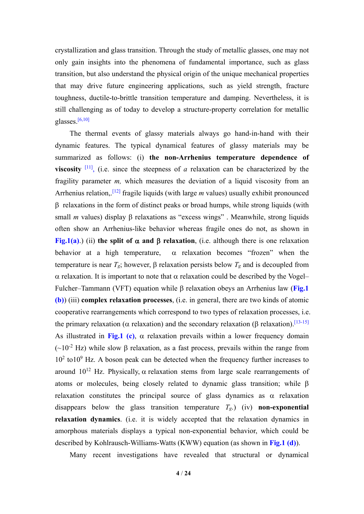crystallization and glass transition. Through the study of metallic glasses, one may not only gain insights into the phenomena of fundamental importance, such as glass transition, but also understand the physical origin of the unique mechanical properties that may drive future engineering applications, such as yield strength, fracture toughness, ductile-to-brittle transition temperature and damping. Nevertheless, it is still challenging as of today to develop a structure-property correlation for metallic glasses.[6,10]

The thermal events of glassy materials always go hand-in-hand with their dynamic features. The typical dynamical features of glassy materials may be summarized as follows: (i) **the non-Arrhenius temperature dependence of viscosity**  $\begin{bmatrix} 11 \end{bmatrix}$ , (i.e. since the steepness of *a* relaxation can be characterized by the fragility parameter *m,* which measures the deviation of a liquid viscosity from an Arrhenius relation,.<sup>[12]</sup> fragile liquids (with large *m* values) usually exhibit pronounced  $\beta$  relaxations in the form of distinct peaks or broad humps, while strong liquids (with small *m* values) display  $\beta$  relaxations as "excess wings". Meanwhile, strong liquids often show an Arrhenius-like behavior whereas fragile ones do not, as shown in **Fig.1(a)**.) (ii) the split of  $\alpha$  and  $\beta$  relaxation, (i.e. although there is one relaxation behavior at a high temperature,  $\alpha$  relaxation becomes "frozen" when the temperature is near  $T_g$ ; however,  $\beta$  relaxation persists below  $T_g$  and is decoupled from  $\alpha$  relaxation. It is important to note that  $\alpha$  relaxation could be described by the Vogel– Fulcher–Tammann (VFT) equation while  $\beta$  relaxation obeys an Arrhenius law (**Fig.1**) **(b)**) (iii) **complex relaxation processes**, (i.e. in general, there are two kinds of atomic cooperative rearrangements which correspond to two types of relaxation processes, i.e. the primary relaxation ( $\alpha$  relaxation) and the secondary relaxation ( $\beta$  relaxation).<sup>[13-15]</sup> As illustrated in Fig.1 (c),  $\alpha$  relaxation prevails within a lower frequency domain ( $\sim$ 10<sup>-2</sup> Hz) while slow  $\beta$  relaxation, as a fast process, prevails within the range from  $10<sup>2</sup>$  to  $10<sup>9</sup>$  Hz. A boson peak can be detected when the frequency further increases to around  $10^{12}$  Hz. Physically,  $\alpha$  relaxation stems from large scale rearrangements of atoms or molecules, being closely related to dynamic glass transition; while  $\beta$ relaxation constitutes the principal source of glass dynamics as  $\alpha$  relaxation disappears below the glass transition temperature *Tg*.) (iv) **non-exponential relaxation dynamics**. (i.e. it is widely accepted that the relaxation dynamics in amorphous materials displays a typical non-exponential behavior, which could be described by Kohlrausch-Williams-Watts (KWW) equation (as shown in **Fig.1 (d)**).

Many recent investigations have revealed that structural or dynamical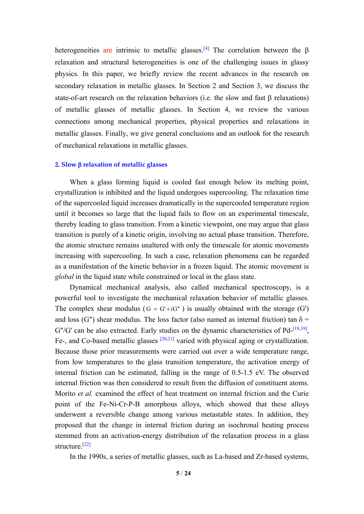heterogeneities are intrinsic to metallic glasses.<sup>[4]</sup> The correlation between the  $\beta$ relaxation and structural heterogeneities is one of the challenging issues in glassy physics. In this paper, we briefly review the recent advances in the research on secondary relaxation in metallic glasses. In Section 2 and Section 3, we discuss the state-of-art research on the relaxation behaviors (i.e. the slow and fast  $\beta$  relaxations) of metallic glasses of metallic glasses. In Section 4, we review the various connections among mechanical properties, physical properties and relaxations in metallic glasses. Finally, we give general conclusions and an outlook for the research of mechanical relaxations in metallic glasses.

#### **2. Slow relaxation of metallic glasses**

When a glass forming liquid is cooled fast enough below its melting point, crystallization is inhibited and the liquid undergoes supercooling. The relaxation time of the supercooled liquid increases dramatically in the supercooled temperature region until it becomes so large that the liquid fails to flow on an experimental timescale, thereby leading to glass transition. From a kinetic viewpoint, one may argue that glass transition is purely of a kinetic origin, involving no actual phase transition. Therefore, the atomic structure remains unaltered with only the timescale for atomic movements increasing with supercooling. In such a case, relaxation phenomena can be regarded as a manifestation of the kinetic behavior in a frozen liquid. The atomic movement is *global* in the liquid state while constrained or local in the glass state.

Dynamical mechanical analysis, also called mechanical spectroscopy, is a powerful tool to investigate the mechanical relaxation behavior of metallic glasses. The complex shear modulus ( $G = G'+iG''$ ) is usually obtained with the storage (G') and loss (G") shear modulus. The loss factor (also named as internal friction) tan  $\delta$  =  $G''/G'$  can be also extracted. Early studies on the dynamic characteristics of Pd- $^{[18,19]}$ , Fe-, and Co-based metallic glasses  $[20,21]$  varied with physical aging or crystallization. Because those prior measurements were carried out over a wide temperature range, from low temperatures to the glass transition temperature, the activation energy of internal friction can be estimated, falling in the range of 0.5-1.5 eV. The observed internal friction was then considered to result from the diffusion of constituent atoms. Morito *et al.* examined the effect of heat treatment on internal friction and the Curie point of the Fe-Ni-Cr-P-B amorphous alloys, which showed that these alloys underwent a reversible change among various metastable states. In addition, they proposed that the change in internal friction during an isochronal heating process stemmed from an activation-energy distribution of the relaxation process in a glass structure.[22]

In the 1990s, a series of metallic glasses, such as La-based and Zr-based systems,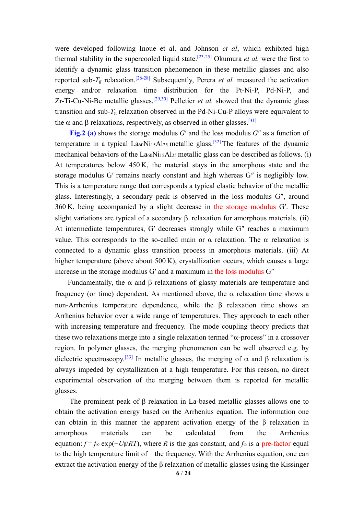were developed following Inoue et al. and Johnson *et al*, which exhibited high thermal stability in the supercooled liquid state.[23-25] Okumura *et al.* were the first to identify a dynamic glass transition phenomenon in these metallic glasses and also reported sub- $T_g$  relaxation.<sup>[26-28]</sup> Subsequently, Perera *et al.* measured the activation energy and/or relaxation time distribution for the Pt-Ni-P, Pd-Ni-P, and Zr-Ti-Cu-Ni-Be metallic glasses.<sup>[29,30]</sup> Pelletier *et al.* showed that the dynamic glass transition and sub*-T*g relaxation observed in the Pd-Ni-Cu-P alloys were equivalent to the  $\alpha$  and  $\beta$  relaxations, respectively, as observed in other glasses.<sup>[31]</sup>

**Fig.2** (a) shows the storage modulus *G'* and the loss modulus *G''* as a function of temperature in a typical  $La<sub>60</sub>Ni<sub>15</sub>Al<sub>25</sub>$  metallic glass.<sup>[32]</sup> The features of the dynamic mechanical behaviors of the La<sub>60</sub>N<sub>115</sub>Al<sub>25</sub> metallic glass can be described as follows. (i) At temperatures below 450 K, the material stays in the amorphous state and the storage modulus G′ remains nearly constant and high whereas G″ is negligibly low. This is a temperature range that corresponds a typical elastic behavior of the metallic glass. Interestingly, a secondary peak is observed in the loss modulus G″, around 360 K, being accompanied by a slight decrease in the storage modulus G′. These slight variations are typical of a secondary  $\beta$  relaxation for amorphous materials. (ii) At intermediate temperatures, G′ decreases strongly while G″ reaches a maximum value. This corresponds to the so-called main or  $\alpha$  relaxation. The  $\alpha$  relaxation is connected to a dynamic glass transition process in amorphous materials. (iii) At higher temperature (above about 500 $K$ ), crystallization occurs, which causes a large increase in the storage modulus G′ and a maximum in the loss modulus G″

Fundamentally, the  $\alpha$  and  $\beta$  relaxations of glassy materials are temperature and frequency (or time) dependent. As mentioned above, the  $\alpha$  relaxation time shows a non-Arrhenius temperature dependence, while the  $\beta$  relaxation time shows an Arrhenius behavior over a wide range of temperatures. They approach to each other with increasing temperature and frequency. The mode coupling theory predicts that these two relaxations merge into a single relaxation termed " $\alpha$ -process" in a crossover region. In polymer glasses, the merging phenomenon can be well observed e.g. by dielectric spectroscopy.<sup>[33]</sup> In metallic glasses, the merging of  $\alpha$  and  $\beta$  relaxation is always impeded by crystallization at a high temperature. For this reason, no direct experimental observation of the merging between them is reported for metallic glasses.

The prominent peak of β relaxation in La-based metallic glasses allows one to obtain the activation energy based on the Arrhenius equation. The information one can obtain in this manner the apparent activation energy of the β relaxation in amorphous materials can be calculated from the Arrhenius equation: *f* = *f*∞ exp(−*U*β/*RT*), where *R* is the gas constant, and *f*∞ is a pre-factor equal to the high temperature limit of the frequency. With the Arrhenius equation, one can extract the activation energy of the β relaxation of metallic glasses using the Kissinger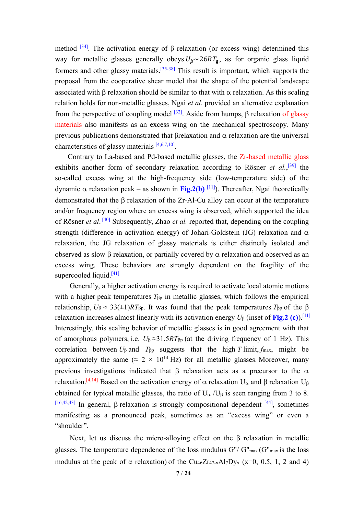method  $[34]$ . The activation energy of  $\beta$  relaxation (or excess wing) determined this way for metallic glasses generally obeys  $U_B \sim 26RT_g$ , as for organic glass liquid formers and other glassy materials.<sup>[35-38]</sup> This result is important, which supports the proposal from the cooperative shear model that the shape of the potential landscape associated with  $\beta$  relaxation should be similar to that with  $\alpha$  relaxation. As this scaling relation holds for non-metallic glasses, Ngai *et al.* provided an alternative explanation from the perspective of coupling model  $[32]$ . Aside from humps,  $\beta$  relaxation of glassy materials also manifests as an excess wing on the mechanical spectroscopy. Many previous publications demonstrated that  $\beta$ relaxation and  $\alpha$  relaxation are the universal characteristics of glassy materials [4,6,7,10].

Contrary to La-based and Pd-based metallic glasses, the Zr-based metallic glass exhibits another form of secondary relaxation according to Rösner *et al.*,<sup>[39]</sup> the so-called excess wing at the high-frequency side (low-temperature side) of the dynamic  $\alpha$  relaxation peak – as shown in **Fig.2(b)** <sup>[11]</sup>). Thereafter, Ngai theoretically demonstrated that the  $\beta$  relaxation of the Zr-Al-Cu alloy can occur at the temperature and/or frequency region where an excess wing is observed, which supported the idea of Rösner *et al*.<sup>[40]</sup> Subsequently, Zhao *et al.* reported that, depending on the coupling strength (difference in activation energy) of Johari-Goldstein (JG) relaxation and  $\alpha$ relaxation, the JG relaxation of glassy materials is either distinctly isolated and observed as slow  $\beta$  relaxation, or partially covered by  $\alpha$  relaxation and observed as an excess wing. These behaviors are strongly dependent on the fragility of the supercooled liquid.<sup>[41]</sup>

Generally, a higher activation energy is required to activate local atomic motions with a higher peak temperatures  $T_{\beta p}$  in metallic glasses, which follows the empirical relationship,  $U_\beta \approx 33(\pm 1)RT_{\beta p}$ . It was found that the peak temperatures  $T_{\beta p}$  of the  $\beta$ relaxation increases almost linearly with its activation energy  $U_{\beta}$  (inset of **Fig.2 (c)**).<sup>[11]</sup> Interestingly, this scaling behavior of metallic glasses is in good agreement with that of amorphous polymers, i.e.  $U_{\beta} \approx 31.5RT_{\beta p}$  (at the driving frequency of 1 Hz). This correlation between  $U_{\beta}$  and  $T_{\beta p}$  suggests that the high *T* limit,  $f_{\text{max}}$ , might be approximately the same ( $\approx 2 \times 10^{14}$  Hz) for all metallic glasses. Moreover, many previous investigations indicated that  $\beta$  relaxation acts as a precursor to the  $\alpha$ relaxation.<sup>[4,14]</sup> Based on the activation energy of  $\alpha$  relaxation U<sub> $\alpha$ </sub> and  $\beta$  relaxation U<sub> $\beta$ </sub> obtained for typical metallic glasses, the ratio of  $U_{\alpha}/U_{\beta}$  is seen ranging from 3 to 8.  $[16,42,43]$  In general,  $\beta$  relaxation is strongly compositional dependent  $[44]$ , sometimes manifesting as a pronounced peak, sometimes as an "excess wing" or even a "shoulder".

Next, let us discuss the micro-alloying effect on the  $\beta$  relaxation in metallic glasses. The temperature dependence of the loss modulus  $G''/ G''_{max}$  ( $G''_{max}$  is the loss modulus at the peak of  $\alpha$  relaxation) of the Cu<sub>46</sub>Z<sub>r47-x</sub>Al<sub>7</sub>D<sub>y<sub>x</sub></sub> (x=0, 0.5, 1, 2 and 4)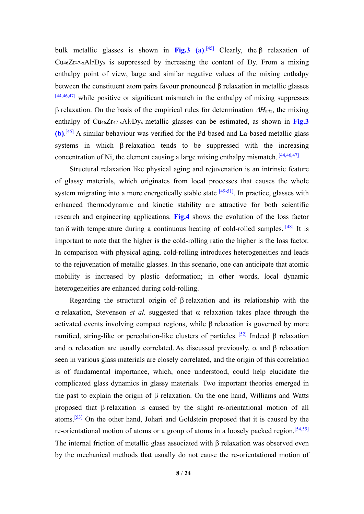bulk metallic glasses is shown in **Fig.3** (a).<sup>[45]</sup> Clearly, the  $\beta$  relaxation of  $Cu<sub>46</sub>Zr<sub>47-x</sub>A<sub>17</sub>Dy<sub>x</sub>$  is suppressed by increasing the content of Dy. From a mixing enthalpy point of view, large and similar negative values of the mixing enthalpy between the constituent atom pairs favour pronounced  $\beta$  relaxation in metallic glasses  $[44,46,47]$  while positive or significant mismatch in the enthalpy of mixing suppresses B relaxation. On the basis of the empirical rules for determination  $\Delta H_{mix}$ , the mixing enthalpy of Cu46Zr47-xAl7Dyx metallic glasses can be estimated, as shown in **Fig.3 (b)**. [45] A similar behaviour was verified for the Pd-based and La-based metallic glass systems in which B relaxation tends to be suppressed with the increasing concentration of Ni, the element causing a large mixing enthalpy mismatch.  $[44,46,47]$ 

Structural relaxation like physical aging and rejuvenation is an intrinsic feature of glassy materials, which originates from local processes that causes the whole system migrating into a more energetically stable state  $[49-51]$ . In practice, glasses with enhanced thermodynamic and kinetic stability are attractive for both scientific research and engineering applications. **Fig.4** shows the evolution of the loss factor tan  $\delta$  with temperature during a continuous heating of cold-rolled samples. [48] It is important to note that the higher is the cold-rolling ratio the higher is the loss factor. In comparison with physical aging, cold-rolling introduces heterogeneities and leads to the rejuvenation of metallic glasses. In this scenario, one can anticipate that atomic mobility is increased by plastic deformation; in other words, local dynamic heterogeneities are enhanced during cold-rolling.

Regarding the structural origin of  $\beta$  relaxation and its relationship with the  $\alpha$  relaxation, Stevenson *et al.* suggested that  $\alpha$  relaxation takes place through the activated events involving compact regions, while  $\beta$  relaxation is governed by more ramified, string-like or percolation-like clusters of particles. <sup>[52]</sup> Indeed  $\beta$  relaxation and  $\alpha$  relaxation are usually correlated. As discussed previously,  $\alpha$  and  $\beta$  relaxation seen in various glass materials are closely correlated, and the origin of this correlation is of fundamental importance, which, once understood, could help elucidate the complicated glass dynamics in glassy materials. Two important theories emerged in the past to explain the origin of  $\beta$  relaxation. On the one hand, Williams and Watts proposed that  $\beta$  relaxation is caused by the slight re-orientational motion of all atoms.[53] On the other hand, Johari and Goldstein proposed that it is caused by the re-orientational motion of atoms or a group of atoms in a loosely packed region.<sup>[54,55]</sup> The internal friction of metallic glass associated with  $\beta$  relaxation was observed even by the mechanical methods that usually do not cause the re-orientational motion of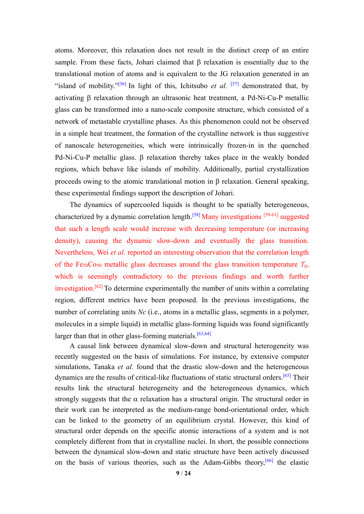atoms. Moreover, this relaxation does not result in the distinct creep of an entire sample. From these facts, Johari claimed that  $\beta$  relaxation is essentially due to the translational motion of atoms and is equivalent to the JG relaxation generated in an "island of mobility."[56] In light of this, Ichitsubo *et al.* [57] demonstrated that, by activating  $\beta$  relaxation through an ultrasonic heat treatment, a Pd-Ni-Cu-P metallic glass can be transformed into a nano-scale composite structure, which consisted of a network of metastable crystalline phases. As this phenomenon could not be observed in a simple heat treatment, the formation of the crystalline network is thus suggestive of nanoscale heterogeneities, which were intrinsically frozen-in in the quenched  $Pd-Ni-Cu-P$  metallic glass.  $\beta$  relaxation thereby takes place in the weakly bonded regions, which behave like islands of mobility. Additionally, partial crystallization proceeds owing to the atomic translational motion in  $\beta$  relaxation. General speaking, these experimental findings support the description of Johari.

The dynamics of supercooled liquids is thought to be spatially heterogeneous, characterized by a dynamic correlation length.[58] Many investigations [59-61] suggested that such a length scale would increase with decreasing temperature (or increasing density), causing the dynamic slow-down and eventually the glass transition. Nevertheless, Wei *et al.* reported an interesting observation that the correlation length of the Fe<sub>50</sub>Co<sub>50</sub> metallic glass decreases around the glass transition temperature  $T_g$ , which is seemingly contradictory to the previous findings and worth further investigation.<sup>[62]</sup> To determine experimentally the number of units within a correlating region, different metrics have been proposed. In the previous investigations, the number of correlating units *Nc* (i.e., atoms in a metallic glass, segments in a polymer, molecules in a simple liquid) in metallic glass-forming liquids was found significantly larger than that in other glass-forming materials.<sup>[63,64]</sup>

A causal link between dynamical slow-down and structural heterogeneity was recently suggested on the basis of simulations. For instance, by extensive computer simulations, Tanaka *et al.* found that the drastic slow-down and the heterogeneous dynamics are the results of critical-like fluctuations of static structural orders.[65] Their results link the structural heterogeneity and the heterogeneous dynamics, which strongly suggests that the  $\alpha$  relaxation has a structural origin. The structural order in their work can be interpreted as the medium-range bond-orientational order, which can be linked to the geometry of an equilibrium crystal. However, this kind of structural order depends on the specific atomic interactions of a system and is not completely different from that in crystalline nuclei. In short, the possible connections between the dynamical slow-down and static structure have been actively discussed on the basis of various theories, such as the Adam-Gibbs theory,<sup>[66]</sup> the elastic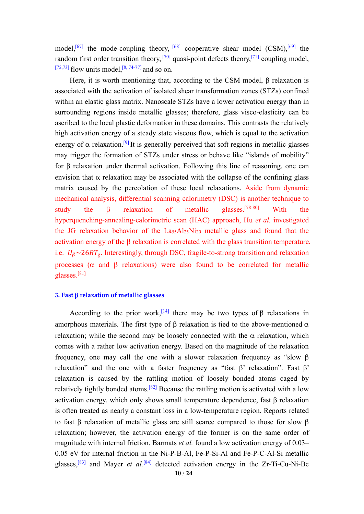model,<sup>[67]</sup> the mode-coupling theory, <sup>[68]</sup> cooperative shear model  $(CSM)$ ,<sup>[69]</sup> the random first order transition theory,  $[70]$  quasi-point defects theory,  $[71]$  coupling model, [72,73] flow units model,  $[8, 74-77]$  and so on.

Here, it is worth mentioning that, according to the CSM model,  $\beta$  relaxation is associated with the activation of isolated shear transformation zones (STZs) confined within an elastic glass matrix. Nanoscale STZs have a lower activation energy than in surrounding regions inside metallic glasses; therefore, glass visco-elasticity can be ascribed to the local plastic deformation in these domains. This contrasts the relatively high activation energy of a steady state viscous flow, which is equal to the activation energy of  $\alpha$  relaxation.<sup>[9]</sup> It is generally perceived that soft regions in metallic glasses may trigger the formation of STZs under stress or behave like "islands of mobility" for  $\beta$  relaxation under thermal activation. Following this line of reasoning, one can envision that  $\alpha$  relaxation may be associated with the collapse of the confining glass matrix caused by the percolation of these local relaxations. Aside from dynamic mechanical analysis, differential scanning calorimetry (DSC) is another technique to study the  $\beta$  relaxation of metallic glasses.<sup>[78-80]</sup> With the hyperquenching-annealing-calorimetric scan (HAC) approach, Hu *et al.* investigated the JG relaxation behavior of the La55Al25Ni20 metallic glass and found that the activation energy of the  $\beta$  relaxation is correlated with the glass transition temperature, i.e.  $U_\beta \sim 26RT_g$ . Interestingly, through DSC, fragile-to-strong transition and relaxation processes ( $\alpha$  and  $\beta$  relaxations) were also found to be correlated for metallic glasses.[81]

### **3. Fast relaxation of metallic glasses**

According to the prior work,<sup>[14]</sup> there may be two types of  $\beta$  relaxations in amorphous materials. The first type of  $\beta$  relaxation is tied to the above-mentioned  $\alpha$ relaxation; while the second may be loosely connected with the  $\alpha$  relaxation, which comes with a rather low activation energy. Based on the magnitude of the relaxation frequency, one may call the one with a slower relaxation frequency as "slow  $\beta$ relaxation" and the one with a faster frequency as "fast β' relaxation". Fast β' relaxation is caused by the rattling motion of loosely bonded atoms caged by relatively tightly bonded atoms.<sup>[82]</sup> Because the rattling motion is activated with a low activation energy, which only shows small temperature dependence, fast  $\beta$  relaxation is often treated as nearly a constant loss in a low-temperature region. Reports related to fast  $\beta$  relaxation of metallic glass are still scarce compared to those for slow  $\beta$ relaxation; however, the activation energy of the former is on the same order of magnitude with internal friction. Barmats *et al.* found a low activation energy of 0.03– 0.05 eV for internal friction in the Ni-P-B-Al, Fe-P-Si-Al and Fe-P-C-Al-Si metallic glasses,<sup>[83]</sup> and Mayer *et al.*<sup>[84]</sup> detected activation energy in the Zr-Ti-Cu-Ni-Be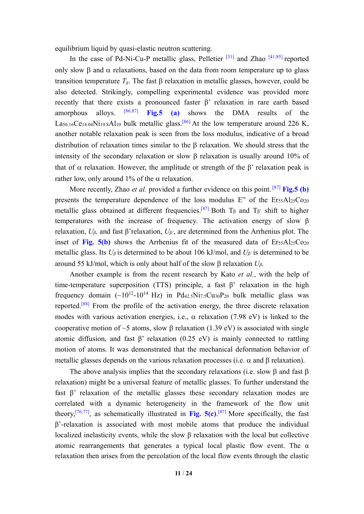equilibrium liquid by quasi-elastic neutron scattering.

In the case of Pd-Ni-Cu-P metallic glass, Pelletier<sup>[31]</sup> and Zhao  $[41,85]$  reported only slow  $\beta$  and  $\alpha$  relaxations, based on the data from room temperature up to glass transition temperature  $T_g$ . The fast  $\beta$  relaxation in metallic glasses, however, could be also detected. Strikingly, compelling experimental evidence was provided more recently that there exists a pronounced faster β' relaxation in rare earth based amorphous alloys. [86,87] **Fig.5 (a)** shows the DMA results of the La<sub>56.16</sub>Ce<sub>14.04</sub>N<sub>119.8</sub>A<sub>l10</sub> bulk metallic glass.<sup>[86]</sup> At the low temperature around 226 K, another notable relaxation peak is seen from the loss modulus, indicative of a broad distribution of relaxation times similar to the  $\beta$  relaxation. We should stress that the intensity of the secondary relaxation or slow  $\beta$  relaxation is usually around 10% of that of  $\alpha$  relaxation. However, the amplitude or strength of the  $\beta$ ' relaxation peak is rather low, only around 1% of the  $\alpha$  relaxation.

More recently, Zhao *et al.* provided a further evidence on this point. <sup>[87]</sup> Fig.5 (b) presents the temperature dependence of the loss modulus E" of the Er55Al25Co20 metallic glass obtained at different frequencies.<sup>[87]</sup> Both T<sub>β</sub> and T<sub>β</sub>' shift to higher temperatures with the increase of frequency*.* The activation energy of slow β relaxation, *Uβ,* and fast β'relaxation, *Uβ'*, are determined from the Arrhenius plot. The inset of Fig. 5(b) shows the Arrhenius fit of the measured data of Er55Al25Co<sub>20</sub> metallic glass. Its *U<sup>β</sup>* is determined to be about 106 kJ/mol, and *Uβ'* is determined to be around 55 kJ/mol, which is only about half of the slow β relaxation  $U_\beta$ .

Another example is from the recent research by Kato *et al.*, with the help of time-temperature superposition (TTS) principle, a fast β' relaxation in the high frequency domain  $({\sim}10^{12}-10^{14}$  Hz) in Pd<sub>42.5</sub>Ni<sub>7.5</sub>Cu<sub>30</sub>P<sub>20</sub> bulk metallic glass was reported.[88] From the profile of the activation energy, the three discrete relaxation modes with various activation energies, i.e.,  $\alpha$  relaxation (7.98 eV) is linked to the cooperative motion of  $\sim$ 5 atoms, slow  $\beta$  relaxation (1.39 eV) is associated with single atomic diffusion, and fast β' relaxation (0.25 eV) is mainly connected to rattling motion of atoms. It was demonstrated that the mechanical deformation behavior of metallic glasses depends on the various relaxation processes (i.e.  $\alpha$  and  $\beta$  relaxation).

The above analysis implies that the secondary relaxations (i.e. slow  $\beta$  and fast  $\beta$ relaxation) might be a universal feature of metallic glasses. To further understand the fast β' relaxation of the metallic glasses these secondary relaxation modes are correlated with a dynamic heterogeneity in the framework of the flow unit theory,<sup>[76,77]</sup>, as schematically illustrated in Fig.  $5(c)$ .<sup>[87]</sup> More specifically, the fast β'-relaxation is associated with most mobile atoms that produce the individual localized inelasticity events, while the slow β relaxation with the local but collective atomic rearrangements that generates a typical local plastic flow event. The  $\alpha$ relaxation then arises from the percolation of the local flow events through the elastic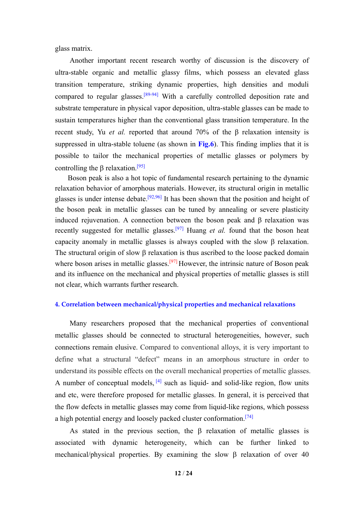glass matrix.

Another important recent research worthy of discussion is the discovery of ultra-stable organic and metallic glassy films, which possess an elevated glass transition temperature, striking dynamic properties, high densities and moduli compared to regular glasses.<sup>[89-94]</sup> With a carefully controlled deposition rate and substrate temperature in physical vapor deposition, ultra-stable glasses can be made to sustain temperatures higher than the conventional glass transition temperature. In the recent study, Yu *et al.* reported that around 70% of the β relaxation intensity is suppressed in ultra-stable toluene (as shown in **Fig.6**). This finding implies that it is possible to tailor the mechanical properties of metallic glasses or polymers by controlling the  $\beta$  relaxation.<sup>[95]</sup>

Boson peak is also a hot topic of fundamental research pertaining to the dynamic relaxation behavior of amorphous materials. However, its structural origin in metallic glasses is under intense debate.<sup>[92,96]</sup> It has been shown that the position and height of the boson peak in metallic glasses can be tuned by annealing or severe plasticity induced rejuvenation. A connection between the boson peak and β relaxation was recently suggested for metallic glasses.[97] Huang *et al.* found that the boson heat capacity anomaly in metallic glasses is always coupled with the slow  $\beta$  relaxation. The structural origin of slow  $\beta$  relaxation is thus ascribed to the loose packed domain where boson arises in metallic glasses.<sup>[97]</sup> However, the intrinsic nature of Boson peak and its influence on the mechanical and physical properties of metallic glasses is still not clear, which warrants further research.

# **4. Correlation between mechanical/physical properties and mechanical relaxations**

Many researchers proposed that the mechanical properties of conventional metallic glasses should be connected to structural heterogeneities, however, such connections remain elusive. Compared to conventional alloys, it is very important to define what a structural "defect" means in an amorphous structure in order to understand its possible effects on the overall mechanical properties of metallic glasses. A number of conceptual models,  $[4]$  such as liquid- and solid-like region, flow units and etc, were therefore proposed for metallic glasses. In general, it is perceived that the flow defects in metallic glasses may come from liquid-like regions, which possess a high potential energy and loosely packed cluster conformation.<sup>[74]</sup>

As stated in the previous section, the  $\beta$  relaxation of metallic glasses is associated with dynamic heterogeneity, which can be further linked to mechanical/physical properties. By examining the slow  $\beta$  relaxation of over 40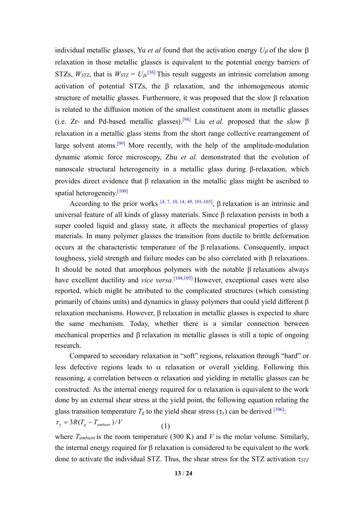individual metallic glasses, Yu *et al* found that the activation energy  $U_\beta$  of the slow  $\beta$ relaxation in those metallic glasses is equivalent to the potential energy barriers of STZs,  $W_{STZ}$ , that is  $W_{STZ} = U_{\beta}$ <sup>[36]</sup> This result suggests an intrinsic correlation among activation of potential STZs, the  $\beta$  relaxation, and the inhomogeneous atomic structure of metallic glasses. Furthermore, it was proposed that the slow β relaxation is related to the diffusion motion of the smallest constituent atom in metallic glasses (i.e. Zr- and Pd-based metallic glasses).<sup>[98]</sup> Liu *et al.* proposed that the slow  $\beta$ relaxation in a metallic glass stems from the short range collective rearrangement of large solvent atoms.<sup>[99]</sup> More recently, with the help of the amplitude-modulation dynamic atomic force microscopy, Zhu *et al.* demonstrated that the evolution of nanoscale structural heterogeneity in a metallic glass during β-relaxation, which provides direct evidence that β relaxation in the metallic glass might be ascribed to spatial heterogeneity.[100]

According to the prior works  $[4, 7, 10, 14, 49, 101, 103]$ ,  $\beta$  relaxation is an intrinsic and universal feature of all kinds of glassy materials. Since  $\beta$  relaxation persists in both a super cooled liquid and glassy state, it affects the mechanical properties of glassy materials. In many polymer glasses the transition from ductile to brittle deformation occurs at the characteristic temperature of the  $\beta$  relaxations. Consequently, impact toughness, yield strength and failure modes can be also correlated with  $\beta$  relaxations. It should be noted that amorphous polymers with the notable  $\beta$  relaxations always have excellent ductility and *vice versa*. [104,105] However, exceptional cases were also reported, which might be attributed to the complicated structures (which consisting primarily of chains units) and dynamics in glassy polymers that could yield different  $\beta$ relaxation mechanisms. However,  $\beta$  relaxation in metallic glasses is expected to share the same mechanism. Today, whether there is a similar connection between mechanical properties and  $\beta$  relaxation in metallic glasses is still a topic of ongoing research.

Compared to secondary relaxation in "soft" regions, relaxation through "hard" or less defective regions leads to  $\alpha$  relaxation or overall yielding. Following this reasoning, a correlation between  $\alpha$  relaxation and yielding in metallic glasses can be constructed. As the internal energy required for  $\alpha$  relaxation is equivalent to the work done by an external shear stress at the yield point, the following equation relating the glass transition temperature  $T_g$  to the yield shear stress  $(\tau_y)$  can be derived <sup>[106]</sup>:

$$
\tau_{y} = 3R(T_{g} - T_{ambient})/V
$$
\n(1)

where  $T_{ambient}$  is the room temperature (300 K) and  $V$  is the molar volume. Similarly, the internal energy required for  $\beta$  relaxation is considered to be equivalent to the work done to activate the individual STZ. Thus, the shear stress for the STZ activation *STZ*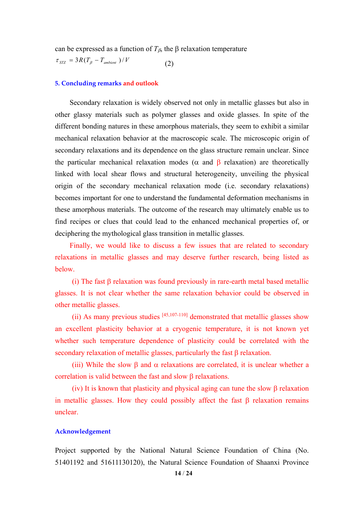can be expressed as a function of  $T_{\beta}$ , the  $\beta$  relaxation temperature

 $\tau_{STZ} = 3R(T_{\beta} - T_{ambient})/V$  (2)

#### **5. Concluding remarks and outlook**

Secondary relaxation is widely observed not only in metallic glasses but also in other glassy materials such as polymer glasses and oxide glasses. In spite of the different bonding natures in these amorphous materials, they seem to exhibit a similar mechanical relaxation behavior at the macroscopic scale. The microscopic origin of secondary relaxations and its dependence on the glass structure remain unclear. Since the particular mechanical relaxation modes ( $\alpha$  and  $\beta$  relaxation) are theoretically linked with local shear flows and structural heterogeneity, unveiling the physical origin of the secondary mechanical relaxation mode (i.e. secondary relaxations) becomes important for one to understand the fundamental deformation mechanisms in these amorphous materials. The outcome of the research may ultimately enable us to find recipes or clues that could lead to the enhanced mechanical properties of, or deciphering the mythological glass transition in metallic glasses.

Finally, we would like to discuss a few issues that are related to secondary relaxations in metallic glasses and may deserve further research, being listed as below.

(i) The fast  $\beta$  relaxation was found previously in rare-earth metal based metallic glasses. It is not clear whether the same relaxation behavior could be observed in other metallic glasses.

(ii) As many previous studies  $[45,107-110]$  demonstrated that metallic glasses show an excellent plasticity behavior at a cryogenic temperature, it is not known yet whether such temperature dependence of plasticity could be correlated with the secondary relaxation of metallic glasses, particularly the fast  $\beta$  relaxation.

(iii) While the slow  $\beta$  and  $\alpha$  relaxations are correlated, it is unclear whether a correlation is valid between the fast and slow  $\beta$  relaxations.

(iv) It is known that plasticity and physical aging can tune the slow  $\beta$  relaxation in metallic glasses. How they could possibly affect the fast  $\beta$  relaxation remains unclear.

# **Acknowledgement**

Project supported by the National Natural Science Foundation of China (No. 51401192 and 51611130120), the Natural Science Foundation of Shaanxi Province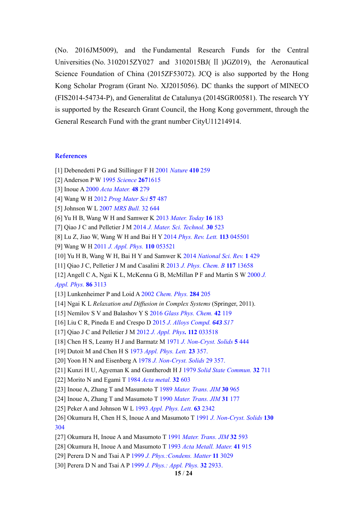(No. 2016JM5009), and the Fundamental Research Funds for the Central Universities (No. 3102015ZY027 and 3102015BJ( Ⅱ )JGZ019), the Aeronautical Science Foundation of China (2015ZF53072). JCQ is also supported by the Hong Kong Scholar Program (Grant No. XJ2015056). DC thanks the support of MINECO (FIS2014-54734-P), and Generalitat de Catalunya (2014SGR00581). The research YY is supported by the Research Grant Council, the Hong Kong government, through the General Research Fund with the grant number CityU11214914.

#### **References**

- [1] Debenedetti P G and Stillinger F H 2001 *Nature* **410** 259
- [2] Anderson P W 1995 *Science* **267**1615
- [3] Inoue A 2000 *Acta Mater.* **48** 279
- [4] Wang W H 2012 *Prog Mater Sci* **57** 487
- [5] Johnson W L 2007 *MRS Bull.* 32 644
- [6] Yu H B, Wang W H and Samwer K 2013 *Mater. Today* **16** 183
- [7] Qiao J C and Pelletier J M 2014 *J. Mater. Sci. Technol.* **30** 523
- [8] Lu Z, Jiao W, Wang W H and Bai H Y 2014 *Phys. Rev. Lett.* **113** 045501
- [9] Wang W H 2011 *J. Appl. Phys.* **110** 053521
- [10] Yu H B, Wang W H, Bai H Y and Samwer K 2014 *National Sci. Rev.* **1** 429
- [11] Qiao J C, Pelletier J M and Casalini R 2013 *J. Phys. Chem. B* **117** 13658
- [12] Angell C A, Ngai K L, McKenna G B, McMillan P F and Martin S W 2000 *J. Appl. Phys.* **86** 3113
- [13] Lunkenheimer P and Loid A 2002 *Chem. Phys.* **284** 205
- [14] Ngai K L *Relaxation and Diffusion in Complex Systems* (Springer, 2011).
- [15] Nemilov S V and Balashov Y S 2016 *Glass Phys. Chem.* **42** 119
- [16] Liu C R, Pineda E and Crespo D 2015 *J. Alloys Compd. 643 S17*
- [17] Qiao J C and Pelletier J M 2012 *J. Appl. Phys.* **112** 033518
- [18] Chen H S, Leamy H J and Barmatz M 1971 *J. Non-Cryst. Solids* **5** 444
- [19] Dutoit M and Chen H S 1973 *Appl. Phys. Lett.* **23** 357.
- [20] Yoon H N and Eisenberg A 1978 *J. Non-Cryst. Solids* 29 357.
- [21] Kunzi H U, Agyeman K and Guntherodt H J 1979 *Solid State Commun.* **32** 711
- [22] Morito N and Egami T 1984 *Acta metal.* **32** 603
- [23] Inoue A, Zhang T and Masumoto T 1989 *Mater. Trans. JIM* **30** 965
- [24] Inoue A, Zhang T and Masumoto T 1990 *Mater. Trans. JIM* **31** 177
- [25] Peker A and Johnson W L 1993 *Appl. Phys. Lett.* **63** 2342
- [26] Okumura H, Chen H S, Inoue A and Masumoto T 1991 *J. Non-Cryst. Solids* **130** 304
- [27] Okumura H, Inoue A and Masumoto T 1991 *Mater. Trans. JIM* **32** 593
- [28] Okumura H, Inoue A and Masumoto T 1993 *Acta Metall. Mater.* **41** 915
- [29] Perera D N and Tsai A P 1999 *J. Phys.:Condens. Matter* **11** 3029
- [30] Perera D N and Tsai A P 1999 *J. Phys.: Appl. Phys.* **32** 2933.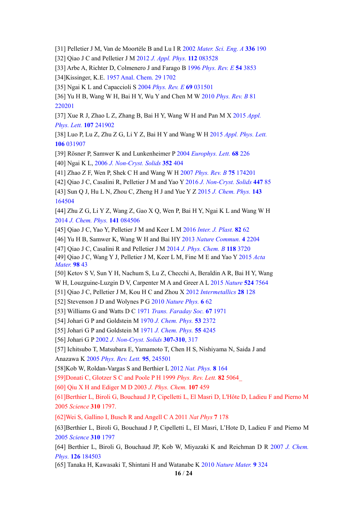[31] Pelletier J M, Van de Moortèle B and Lu I R 2002 *Mater. Sci. Eng. A* **336** 190

[32] Qiao J C and Pelletier J M 2012 *J. Appl. Phys.* **112** 083528

[33] Arbe A, Richter D, Colmenero J and Farago B 1996 *Phys. Rev. E* **54** 3853 [34]Kissinger, K.E. 1957 Anal. Chem. 29 1702

[35] Ngai K L and Capaccioli S 2004 *Phys. Rev. E* **69** 031501

[36] Yu H B, Wang W H, Bai H Y, Wu Y and Chen M W 2010 *Phys. Rev. B* 81 220201

[37] Xue R J, Zhao L Z, Zhang B, Bai H Y, Wang W H and Pan M X 2015 *Appl. Phys. Lett.* **107** 241902

[38] Luo P, Lu Z, Zhu Z G, Li Y Z, Bai H Y and Wang W H 2015 *Appl. Phys. Lett.* **106** 031907

[39] Rösner P, Samwer K and Lunkenheimer P 2004 *Europhys. Lett.* **68** 226

[40] Ngai K L, 2006 *J. Non-Cryst. Solids* **352** 404

[41] Zhao Z F, Wen P, Shek C H and Wang W H 2007 *Phys. Rev. B* **75** 174201

[42] Qiao J C, Casalini R, Pelletier J M and Yao Y 2016 *J. Non-Cryst. Solids* **447** 85

[43] Sun Q J, Hu L N, Zhou C, Zheng H J and Yue Y Z 2015 *J. Chem. Phys.* **143**  164504

[44] Zhu Z G, Li Y Z, Wang Z, Gao X Q, Wen P, Bai H Y, Ngai K L and Wang W H 2014 *J. Chem. Phys.* **141** 084506

[45] Qiao J C, Yao Y, Pelletier J M and Keer L M 2016 *Inter. J. Plast.* **82** 62

[46] Yu H B, Samwer K, Wang W H and Bai HY 2013 *Nature Commun.* **4** 2204

[47] Qiao J C, Casalini R and Pelletier J M 2014 *J. Phys. Chem. B* **118** 3720

[49] Qiao J C, Wang Y J, Pelletier J M, Keer L M, Fine M E and Yao Y 2015 *Acta Mater.* **98** 43

[50] Ketov S V, Sun Y H, Nachum S, Lu Z, Checchi A, Beraldin A R, Bai H Y, Wang

W H, Louzguine-Luzgin D V, Carpenter M A and Greer A L 2015 *Nature* **524** 7564

[51] Qiao J C, Pelletier J M, Kou H C and Zhou X 2012 *Intermetallics* **28** 128

[52] Stevenson J D and Wolynes P G 2010 *Nature Phys.* **6** 62

[53] Williams G and Watts D C 1971 *Trans. Faraday Soc.* **67** 1971

[54] Johari G P and Goldstein M 1970 *J. Chem. Phys.* **53** 2372

[55] Johari G P and Goldstein M 1971 *J. Chem. Phys.* **55** 4245

[56] Johari G P 2002 *J. Non-Cryst. Solids* **307-310**, 317

[57] Ichitsubo T, Matsubara E, Yamamoto T, Chen H S, Nishiyama N, Saida J and Anazawa K 2005 *Phys. Rev. Lett.* **95**, 245501

[58]Kob W, Roldan-Vargas S and Berthier L 2012 *Nat. Phys.* **8** 164

[59]Donati C, Glotzer S C and Poole P H 1999 *Phys. Rev. Lett.* **82** 5064\_

[60] Qiu X H and Ediger M D 2003 *J. Phys. Chem.* **107** 459

[61]Berthier L, Biroli G, Bouchaud J P, Cipelletti L, El Masri D, L'Hôte D, Ladieu F and Pierno M 2005 *Science* **310** 1797.

[62]Wei S, Gallino I, Busch R and Angell C A 2011 *Nat Phys* **7** 178

[63]Berthier L, Biroli G, Bouchaud J P, Cipelletti L, EI Masri, L'Hote D, Ladieu F and Piemo M 2005 *Science* **310** 1797

[64] Berthier L, Biroli G, Bouchaud JP, Kob W, Miyazaki K and Reichman D R 2007 *J. Chem. Phys.* **126** 184503

[65] Tanaka H, Kawasaki T, Shintani H and Watanabe K 2010 *Nature Mater.* **9** 324

**16** / **24**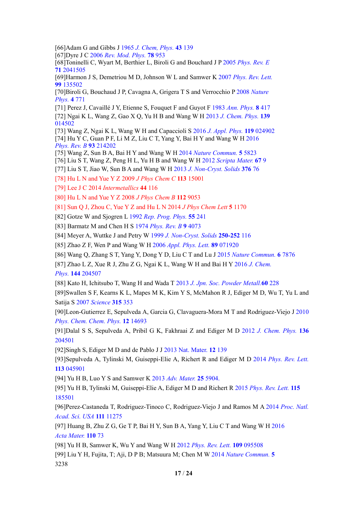[66]Adam G and Gibbs J 1965 *J. Chem, Phys.* **43** 139

[67]Dyre J C 2006 *Rev. Mod. Phys.* **78** 953

[68]Toninelli C, Wyart M, Berthier L, Biroli G and Bouchard J P 2005 *Phys. Rev. E* **71** 2041505

[69]Harmon J S, Demetriou M D, Johnson W L and Samwer K 2007 *Phys. Rev. Lett.*  **99** 135502

[70]Biroli G, Bouchaud J P, Cavagna A, Grigera T S and Verrocchio P 2008 *Nature Phys.* **4** 771

[71] Perez J, Cavaillé J Y, Etienne S, Fouquet F and Guyot F 1983 *Ann. Phys.* **8** 417

[72] Ngai K L, Wang Z, Gao X Q, Yu H B and Wang W H 2013 *J. Chem. Phys.* **139**  014502

[73] Wang Z, Ngai K L, Wang W H and Capaccioli S 2016 *J. Appl. Phys.* **119** 024902 [74] Hu Y C, Guan P F, Li M Z, Liu C T, Yang Y, Bai H Y and Wang W H 2016 *Phys. Rev. B* **93** 214202

[75] Wang Z, Sun B A, Bai H Y and Wang W H 2014 *Nature Commun.* **5** 5823

[76] Liu S T, Wang Z, Peng H L, Yu H B and Wang W H 2012 *Scripta Mater.* **67** 9

[77] Liu S T, Jiao W, Sun B A and Wang W H 2013 *J. Non-Cryst. Solids* **376** 76

[78] Hu L N and Yue Y Z 2009 *J Phys Chem C* **113** 15001

[79] Lee J C 2014 *Intermetallics* **44** 116

[80] Hu L N and Yue Y Z 2008 *J Phys Chem B* **112** 9053

[81] Sun Q J, Zhou C, Yue Y Z and Hu L N 2014 *J Phys Chem Lett* **5** 1170

[82] Gotze W and Sjogren L 1992 *Rep. Prog. Phys.* **55** 241

[83] Barmatz M and Chen H S 1974 *Phys. Rev. B* **9** 4073

[84] Meyer A, Wuttke J and Petry W 1999 *J. Non-Cryst. Solids* **250-252** 116

[85] Zhao Z F, Wen P and Wang W H 2006 *Appl. Phys. Lett.* **89** 071920

[86] Wang Q, Zhang S T, Yang Y, Dong Y D, Liu C T and Lu J 2015 *Nature Commun.* **6** 7876

[87] Zhao L Z, Xue R J, Zhu Z G, Ngai K L, Wang W H and Bai H Y 2016 *J. Chem.* 

*Phys.* **144** 204507

[88] Kato H, Ichitsubo T, Wang H and Wada T 2013 *J. Jpn. Soc. Powder Metall.***60** 228

[89]Swallen S F, Kearns K L, Mapes M K, Kim Y S, McMahon R J, Ediger M D, Wu T, Yu L and Satija S 2007 *Science* **315** 353

[90]Leon-Gutierrez E, Sepulveda A, Garcia G, Clavaguera-Mora M T and Rodriguez-Viejo J 2010 *Phys. Chem. Chem. Phys.* **12** 14693

[91]Dalal S S, Sepulveda A, Pribil G K, Fakhraai Z and Ediger M D 2012 *J. Chem. Phys.* **136** 204501

[92]Singh S, Ediger M D and de Pablo J J 2013 Nat. Mater. **12** 139

[93]Sepulveda A, Tylinski M, Guiseppi-Elie A, Richert R and Ediger M D 2014 *Phys. Rev. Lett.* **113** 045901

[94] Yu H B, Luo Y S and Samwer K 2013 *Adv. Mater.* **25** 5904.

[95] Yu H B, Tylinski M, Guiseppi-Elie A, Ediger M D and Richert R 2015 *Phys. Rev. Lett.* **115** 185501

[96]Perez-Castaneda T, Rodriguez-Tinoco C, Rodriguez-Viejo J and Ramos M A 2014 *Proc. Natl. Acad. Sci. USA* **111** 11275

[97] Huang B, Zhu Z G, Ge T P, Bai H Y, Sun B A, Yang Y, Liu C T and Wang W H 2016 *Acta Mater.* **110** 73

[98] Yu H B, Samwer K, Wu Y and Wang W H 2012 *Phys. Rev. Lett.* **109** 095508

[99] Liu Y H, Fujita, T; Aji, D P B; Matsuura M; Chen M W 2014 *Nature Commun.* **5**  3238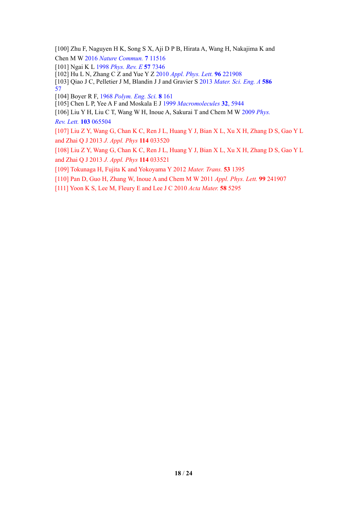[100] Zhu F, Naguyen H K, Song S X, Aji D P B, Hirata A, Wang H, Nakajima K and Chen M W 2016 *Nature Commun.* **7** 11516

[101] Ngai K L 1998 *Phys. Rev. E* **57** 7346

[102] Hu L N, Zhang C Z and Yue Y Z 2010 *Appl. Phys. Lett.* **96** 221908

[103] Qiao J C, Pelletier J M, Blandin J J and Gravier S 2013 *Mater. Sci. Eng. A* **586**  57

[104] Boyer R F, 1968 *Polym. Eng. Sci.* **8** 161

[105] Chen L P, Yee A F and Moskala E J 1999 *Macromolecules* **32**, 5944

[106] Liu Y H, Liu C T, Wang W H, Inoue A, Sakurai T and Chem M W 2009 *Phys. Rev. Lett.* **103** 065504

[107] Liu Z Y, Wang G, Chan K C, Ren J L, Huang Y J, Bian X L, Xu X H, Zhang D S, Gao Y L and Zhai Q J 2013 *J. Appl. Phys* **114** 033520

[108] Liu Z Y, Wang G, Chan K C, Ren J L, Huang Y J, Bian X L, Xu X H, Zhang D S, Gao Y L and Zhai Q J 2013 *J. Appl. Phys* **114** 033521

[109] Tokunaga H, Fujita K and Yokoyama Y 2012 *Mater. Trans.* **53** 1395

[110] Pan D, Guo H, Zhang W, Inoue A and Chem M W 2011 *Appl. Phys. Lett.* **99** 241907

[111] Yoon K S, Lee M, Fleury E and Lee J C 2010 *Acta Mater.* **58** 5295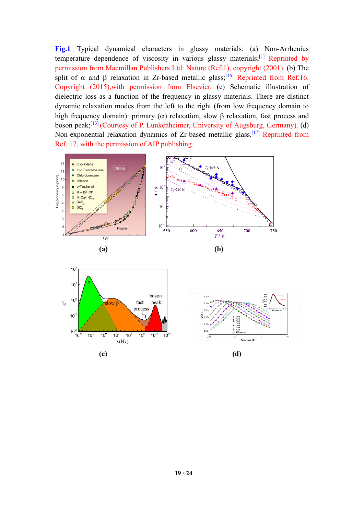**Fig.1** Typical dynamical characters in glassy materials: (a) Non-Arrhenius temperature dependence of viscosity in various glassy materials;<sup>[1]</sup> Reprinted by permission from Macmillan Publishers Ltd: Nature (Ref.1), copyright (2001). (b) The split of  $\alpha$  and  $\beta$  relaxation in Zr-based metallic glass;<sup>[16]</sup> Reprinted from Ref.16. Copyright (2015),with permission from Elsevier. (c) Schematic illustration of dielectric loss as a function of the frequency in glassy materials. There are distinct dynamic relaxation modes from the left to the right (from low frequency domain to high frequency domain): primary ( $\alpha$ ) relaxation, slow  $\beta$  relaxation, fast process and boson peak;[13] (Courtesy of P. Lunkenheimer, University of Augsburg, Germany). (d) Non-exponential relaxation dynamics of Zr-based metallic glass.<sup>[17]</sup> Reprinted from Ref. 17, with the permission of AIP publishing.

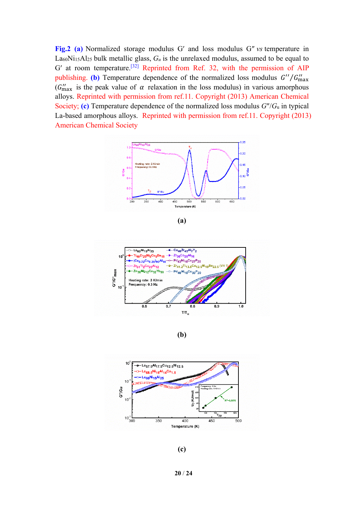**Fig.2 (a)** Normalized storage modulus G′ and loss modulus G″ *vs* temperature in La60Ni15Al25 bulk metallic glass, *Gu* is the unrelaxed modulus, assumed to be equal to G' at room temperature.<sup>[32]</sup> Reprinted from Ref. 32, with the permission of AIP publishing. (b) Temperature dependence of the normalized loss modulus  $G''/G''_{\text{max}}$ ( $G''_{\text{max}}$  is the peak value of  $\alpha$  relaxation in the loss modulus) in various amorphous alloys. Reprinted with permission from ref.11. Copyright (2013) American Chemical Society; **(c)** Temperature dependence of the normalized loss modulus *G*″/*G*u in typical La-based amorphous alloys. Reprinted with permission from ref.11. Copyright (2013) American Chemical Society



**(a)** 



**(b)**



**(c)** 

**20** / **24**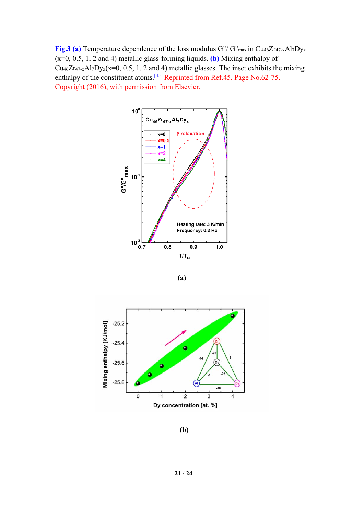Fig.3 (a) Temperature dependence of the loss modulus G"/ G"<sub>max</sub> in Cu<sub>46</sub>Zr<sub>47-x</sub>Al<sub>7</sub>Dy<sub>x</sub> (x=0, 0.5, 1, 2 and 4) metallic glass-forming liquids. **(b)** Mixing enthalpy of Cu<sub>46</sub>Zr<sub>47-x</sub>Al<sub>7</sub>Dy<sub>x</sub>(x=0, 0.5, 1, 2 and 4) metallic glasses. The inset exhibits the mixing enthalpy of the constituent atoms.<sup>[45]</sup> Reprinted from Ref.45, Page No.62-75. Copyright (2016), with permission from Elsevier.







**(b)**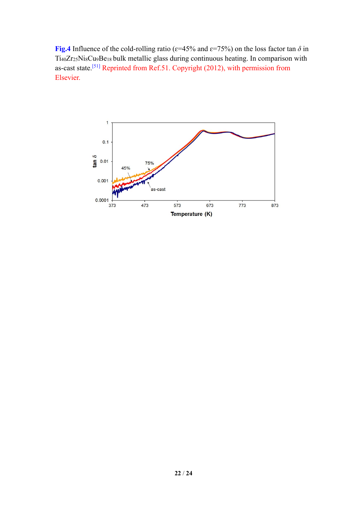**Fig.4** Influence of the cold-rolling ratio ( $\varepsilon$ =45% and  $\varepsilon$ =75%) on the loss factor tan  $\delta$  in Ti40Zr25Ni8Cu9Be18 bulk metallic glass during continuous heating. In comparison with as-cast state.[51] Reprinted from Ref.51. Copyright (2012), with permission from Elsevier.

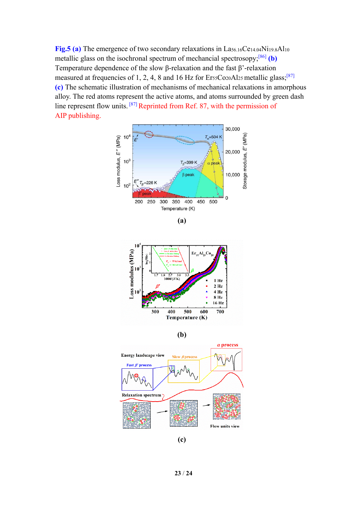**Fig.5 (a)** The emergence of two secondary relaxations in La<sub>56.16</sub>Ce<sub>14.04</sub>Ni<sub>19.8</sub>Al<sub>10</sub> metallic glass on the isochronal spectrum of mechancial spectrosopy;[86] **(b)** Temperature dependence of the slow β-relaxation and the fast β'-relaxation measured at frequencies of 1, 2, 4, 8 and 16 Hz for  $Ers<sub>5</sub>Co<sub>20</sub>Al<sub>25</sub>$  metallic glass;<sup>[87]</sup> **(c)** The schematic illustration of mechanisms of mechanical relaxations in amorphous alloy. The red atoms represent the active atoms, and atoms surrounded by green dash line represent flow units. [87] Reprinted from Ref. 87, with the permission of AIP publishing.







**(b)**



**(c)**